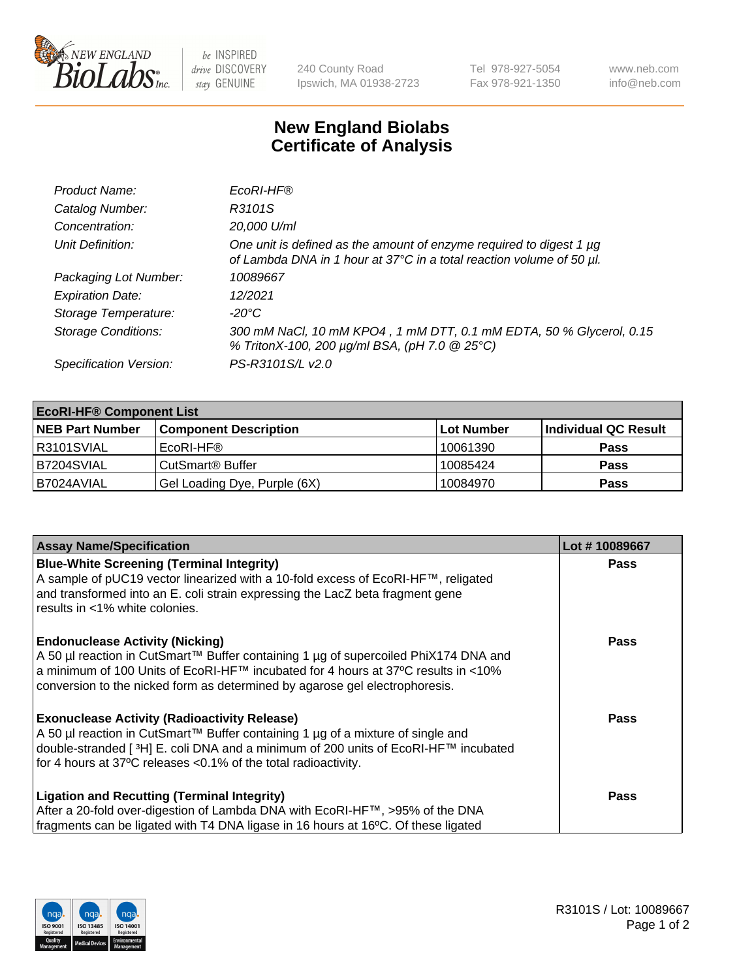

be INSPIRED drive DISCOVERY stay GENUINE

240 County Road Ipswich, MA 01938-2723 Tel 978-927-5054 Fax 978-921-1350 www.neb.com info@neb.com

## **New England Biolabs Certificate of Analysis**

| Product Name:              | EcoRI-HF®                                                                                                                                   |
|----------------------------|---------------------------------------------------------------------------------------------------------------------------------------------|
| Catalog Number:            | R3101S                                                                                                                                      |
| Concentration:             | 20,000 U/ml                                                                                                                                 |
| Unit Definition:           | One unit is defined as the amount of enzyme required to digest 1 µg<br>of Lambda DNA in 1 hour at 37°C in a total reaction volume of 50 µl. |
| Packaging Lot Number:      | 10089667                                                                                                                                    |
| <b>Expiration Date:</b>    | 12/2021                                                                                                                                     |
| Storage Temperature:       | -20°C                                                                                                                                       |
| <b>Storage Conditions:</b> | 300 mM NaCl, 10 mM KPO4, 1 mM DTT, 0.1 mM EDTA, 50 % Glycerol, 0.15<br>% TritonX-100, 200 µg/ml BSA, (pH 7.0 @ 25°C)                        |
| Specification Version:     | PS-R3101S/L v2.0                                                                                                                            |

| <b>EcoRI-HF® Component List</b> |                              |            |                      |  |  |
|---------------------------------|------------------------------|------------|----------------------|--|--|
| <b>NEB Part Number</b>          | <b>Component Description</b> | Lot Number | Individual QC Result |  |  |
| IR3101SVIAL                     | EcoRI-HF®                    | 10061390   | <b>Pass</b>          |  |  |
| B7204SVIAL                      | CutSmart <sup>®</sup> Buffer | 10085424   | <b>Pass</b>          |  |  |
| B7024AVIAL                      | Gel Loading Dye, Purple (6X) | 10084970   | <b>Pass</b>          |  |  |

| <b>Assay Name/Specification</b>                                                     | Lot #10089667 |
|-------------------------------------------------------------------------------------|---------------|
| <b>Blue-White Screening (Terminal Integrity)</b>                                    | <b>Pass</b>   |
| A sample of pUC19 vector linearized with a 10-fold excess of EcoRI-HF™, religated   |               |
| and transformed into an E. coli strain expressing the LacZ beta fragment gene       |               |
| results in <1% white colonies.                                                      |               |
| <b>Endonuclease Activity (Nicking)</b>                                              | <b>Pass</b>   |
| A 50 µl reaction in CutSmart™ Buffer containing 1 µg of supercoiled PhiX174 DNA and |               |
| a minimum of 100 Units of EcoRI-HF™ incubated for 4 hours at 37°C results in <10%   |               |
| conversion to the nicked form as determined by agarose gel electrophoresis.         |               |
| <b>Exonuclease Activity (Radioactivity Release)</b>                                 | Pass          |
| A 50 µl reaction in CutSmart™ Buffer containing 1 µg of a mixture of single and     |               |
| double-stranded [3H] E. coli DNA and a minimum of 200 units of EcoRI-HF™ incubated  |               |
| for 4 hours at 37°C releases < 0.1% of the total radioactivity.                     |               |
| <b>Ligation and Recutting (Terminal Integrity)</b>                                  | <b>Pass</b>   |
| After a 20-fold over-digestion of Lambda DNA with EcoRI-HF™, >95% of the DNA        |               |
| fragments can be ligated with T4 DNA ligase in 16 hours at 16°C. Of these ligated   |               |